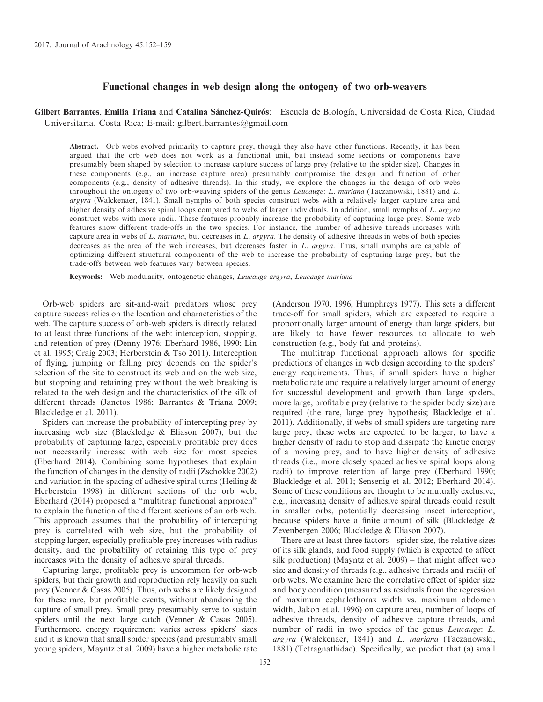# Functional changes in web design along the ontogeny of two orb-weavers

Gilbert Barrantes, Emilia Triana and Catalina Sánchez-Quirós: Escuela de Biología, Universidad de Costa Rica, Ciudad Universitaria, Costa Rica; E-mail: [gilbert.barrantes@gmail.com](mailto:gilbert.barrantes@gmail.com)

Abstract. Orb webs evolved primarily to capture prey, though they also have other functions. Recently, it has been argued that the orb web does not work as a functional unit, but instead some sections or components have presumably been shaped by selection to increase capture success of large prey (relative to the spider size). Changes in these components (e.g., an increase capture area) presumably compromise the design and function of other components (e.g., density of adhesive threads). In this study, we explore the changes in the design of orb webs throughout the ontogeny of two orb-weaving spiders of the genus Leucauge: L. mariana (Taczanowski, 1881) and L. argyra (Walckenaer, 1841). Small nymphs of both species construct webs with a relatively larger capture area and higher density of adhesive spiral loops compared to webs of larger individuals. In addition, small nymphs of L. argyra construct webs with more radii. These features probably increase the probability of capturing large prey. Some web features show different trade-offs in the two species. For instance, the number of adhesive threads increases with capture area in webs of L. mariana, but decreases in L. argyra. The density of adhesive threads in webs of both species decreases as the area of the web increases, but decreases faster in L. argyra. Thus, small nymphs are capable of optimizing different structural components of the web to increase the probability of capturing large prey, but the trade-offs between web features vary between species.

Keywords: Web modularity, ontogenetic changes, Leucauge argyra, Leucauge mariana

Orb-web spiders are sit-and-wait predators whose prey capture success relies on the location and characteristics of the web. The capture success of orb-web spiders is directly related to at least three functions of the web: interception, stopping, and retention of prey (Denny 1976; Eberhard 1986, 1990; Lin et al. 1995; Craig 2003; Herberstein & Tso 2011). Interception of flying, jumping or falling prey depends on the spider's selection of the site to construct its web and on the web size, but stopping and retaining prey without the web breaking is related to the web design and the characteristics of the silk of different threads (Janetos 1986; Barrantes & Triana 2009; Blackledge et al. 2011).

Spiders can increase the probability of intercepting prey by increasing web size (Blackledge & Eliason 2007), but the probability of capturing large, especially profitable prey does not necessarily increase with web size for most species (Eberhard 2014). Combining some hypotheses that explain the function of changes in the density of radii (Zschokke 2002) and variation in the spacing of adhesive spiral turns (Heiling  $\&$ Herberstein 1998) in different sections of the orb web, Eberhard (2014) proposed a ''multitrap functional approach'' to explain the function of the different sections of an orb web. This approach assumes that the probability of intercepting prey is correlated with web size, but the probability of stopping larger, especially profitable prey increases with radius density, and the probability of retaining this type of prey increases with the density of adhesive spiral threads.

Capturing large, profitable prey is uncommon for orb-web spiders, but their growth and reproduction rely heavily on such prey (Venner & Casas 2005). Thus, orb webs are likely designed for these rare, but profitable events, without abandoning the capture of small prey. Small prey presumably serve to sustain spiders until the next large catch (Venner & Casas 2005). Furthermore, energy requirement varies across spiders' sizes and it is known that small spider species (and presumably small young spiders, Mayntz et al. 2009) have a higher metabolic rate

(Anderson 1970, 1996; Humphreys 1977). This sets a different trade-off for small spiders, which are expected to require a proportionally larger amount of energy than large spiders, but are likely to have fewer resources to allocate to web construction (e.g., body fat and proteins).

The multitrap functional approach allows for specific predictions of changes in web design according to the spiders' energy requirements. Thus, if small spiders have a higher metabolic rate and require a relatively larger amount of energy for successful development and growth than large spiders, more large, profitable prey (relative to the spider body size) are required (the rare, large prey hypothesis; Blackledge et al. 2011). Additionally, if webs of small spiders are targeting rare large prey, these webs are expected to be larger, to have a higher density of radii to stop and dissipate the kinetic energy of a moving prey, and to have higher density of adhesive threads (i.e., more closely spaced adhesive spiral loops along radii) to improve retention of large prey (Eberhard 1990; Blackledge et al. 2011; Sensenig et al. 2012; Eberhard 2014). Some of these conditions are thought to be mutually exclusive, e.g., increasing density of adhesive spiral threads could result in smaller orbs, potentially decreasing insect interception, because spiders have a finite amount of silk (Blackledge & Zevenbergen 2006; Blackledge & Eliason 2007).

There are at least three factors – spider size, the relative sizes of its silk glands, and food supply (which is expected to affect silk production) (Mayntz et al. 2009) – that might affect web size and density of threads (e.g., adhesive threads and radii) of orb webs. We examine here the correlative effect of spider size and body condition (measured as residuals from the regression of maximum cephalothorax width vs. maximum abdomen width, Jakob et al. 1996) on capture area, number of loops of adhesive threads, density of adhesive capture threads, and number of radii in two species of the genus *Leucauge*: L. argyra (Walckenaer, 1841) and L. mariana (Taczanowski, 1881) (Tetragnathidae). Specifically, we predict that (a) small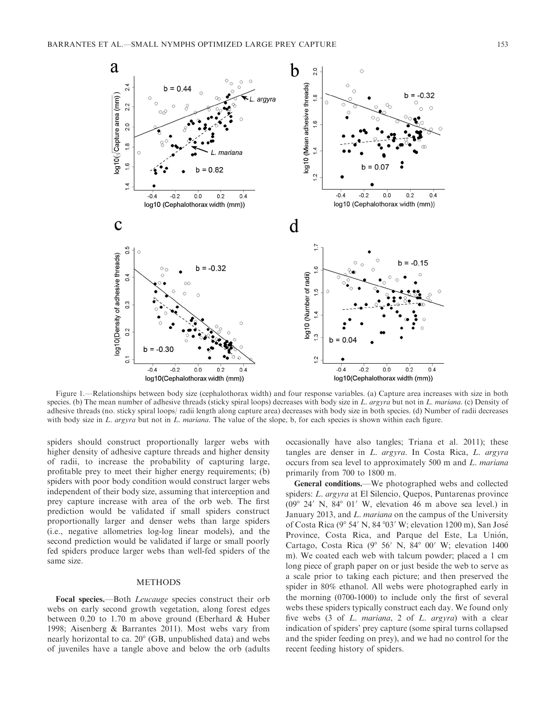a

log10(<sub>V</sub>Capture area (mm)

 $2.4$ 

2.2

 $2.0$ 

 $\frac{8}{1}$ 

 $\frac{6}{1}$ 

 $1.4$ 

0.5  $\circ$ 

 $0.4$ 

 $0.3$ 

 $0.2$ 

 $\overline{0}$ 

 $\mathbf C$ 

log10(Density of adhesive threads)



 $1.2$ 

 $-0.4$ 

 $-0.2$ 

 $0.0$ 

log10(Cephalothorax width (mm))

Figure 1.—Relationships between body size (cephalothorax width) and four response variables. (a) Capture area increases with size in both species. (b) The mean number of adhesive threads (sticky spiral loops) decreases with body size in L. argyra but not in L. mariana. (c) Density of adhesive threads (no. sticky spiral loops/ radii length along capture area) decreases with body size in both species. (d) Number of radii decreases with body size in L. argyra but not in L. mariana. The value of the slope, b, for each species is shown within each figure.

spiders should construct proportionally larger webs with higher density of adhesive capture threads and higher density of radii, to increase the probability of capturing large, profitable prey to meet their higher energy requirements; (b) spiders with poor body condition would construct larger webs independent of their body size, assuming that interception and prey capture increase with area of the orb web. The first prediction would be validated if small spiders construct proportionally larger and denser webs than large spiders (i.e., negative allometries log-log linear models), and the second prediction would be validated if large or small poorly fed spiders produce larger webs than well-fed spiders of the same size.

 $b = -0.30$ 

 $-0.2$ 

 $0.0$ 

log10(Cephalothorax width (mm))

 $0.2$ 

 $0.4$ 

 $-0.4$ 

### METHODS

Focal species.—Both Leucauge species construct their orb webs on early second growth vegetation, along forest edges between 0.20 to 1.70 m above ground (Eberhard & Huber 1998; Aisenberg & Barrantes 2011). Most webs vary from nearly horizontal to ca.  $20^{\circ}$  (GB, unpublished data) and webs of juveniles have a tangle above and below the orb (adults occasionally have also tangles; Triana et al. 2011); these tangles are denser in L. argyra. In Costa Rica, L. argyra occurs from sea level to approximately 500 m and L. mariana primarily from 700 to 1800 m.

 $0.4$ 

 $0.2$ 

General conditions.—We photographed webs and collected spiders: L. argyra at El Silencio, Quepos, Puntarenas province  $(09^{\circ}$  24' N, 84 $^{\circ}$  01' W, elevation 46 m above sea level.) in January 2013, and L. *mariana* on the campus of the University of Costa Rica (9° 54' N, 84 ° 03' W; elevation 1200 m), San José Province, Costa Rica, and Parque del Este, La Unión, Cartago, Costa Rica ( $9^{\circ}$  56' N,  $84^{\circ}$  00' W; elevation 1400 m). We coated each web with talcum powder; placed a 1 cm long piece of graph paper on or just beside the web to serve as a scale prior to taking each picture; and then preserved the spider in 80% ethanol. All webs were photographed early in the morning (0700-1000) to include only the first of several webs these spiders typically construct each day. We found only five webs (3 of L. mariana, 2 of L. argyra) with a clear indication of spiders' prey capture (some spiral turns collapsed and the spider feeding on prey), and we had no control for the recent feeding history of spiders.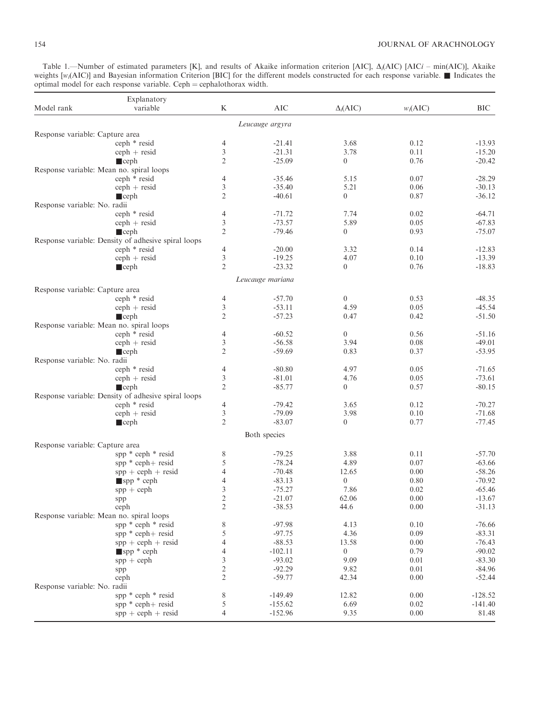Table 1.—Number of estimated parameters [K], and results of Akaike information criterion [AIC],  $\Delta_i$ (AIC) [AICi – min(AIC)], Akaike weights  $[w_i(AIC)]$  and Bayesian information Criterion [BIC] for the different models constructed for each response variable.  $\blacksquare$  Indicates the optimal model for each response variable. Ceph = cephalothorax width.

| Explanatory                                            |                |                  |                  |            |            |
|--------------------------------------------------------|----------------|------------------|------------------|------------|------------|
| variable<br>Model rank                                 | $\bf K$        | <b>AIC</b>       | $\Delta_i(AIC)$  | $w_i(AIC)$ | <b>BIC</b> |
|                                                        |                | Leucauge argyra  |                  |            |            |
| Response variable: Capture area                        |                |                  |                  |            |            |
| ceph * resid                                           | $\overline{4}$ | $-21.41$         | 3.68             | 0.12       | $-13.93$   |
| $ceph + resid$                                         | 3              | $-21.31$         | 3.78             | 0.11       | $-15.20$   |
| $\blacksquare$ ceph                                    | $\overline{2}$ | $-25.09$         | $\overline{0}$   | 0.76       | $-20.42$   |
| Response variable: Mean no. spiral loops               |                |                  |                  |            |            |
| ceph * resid                                           | 4              | $-35.46$         | 5.15             | 0.07       | $-28.29$   |
| $ceph + resid$                                         | $\mathfrak z$  | $-35.40$         | 5.21             | 0.06       | $-30.13$   |
| $\blacksquare$ ceph                                    | $\overline{2}$ | $-40.61$         | $\overline{0}$   | 0.87       | $-36.12$   |
| Response variable: No. radii                           |                |                  |                  |            |            |
| ceph * resid                                           | 4              | $-71.72$         | 7.74             | 0.02       | $-64.71$   |
| $ceph + resid$                                         | 3              | $-73.57$         | 5.89             | 0.05       | $-67.83$   |
| $\blacksquare$ ceph                                    | $\sqrt{2}$     | $-79.46$         | $\overline{0}$   | 0.93       | $-75.07$   |
| Response variable: Density of adhesive spiral loops    |                |                  |                  |            |            |
| ceph * resid                                           | 4              | $-20.00$         | 3.32             | 0.14       | $-12.83$   |
| $ceph + resid$                                         | $\sqrt{3}$     | $-19.25$         | 4.07             | 0.10       | $-13.39$   |
| $\blacksquare$ ceph                                    | $\mathfrak{2}$ | $-23.32$         | $\overline{0}$   | 0.76       | $-18.83$   |
|                                                        |                | Leucauge mariana |                  |            |            |
| Response variable: Capture area                        |                |                  |                  |            |            |
| ceph * resid                                           | 4              | $-57.70$         | $\overline{0}$   | 0.53       | $-48.35$   |
| $ceph + resid$                                         | 3              | $-53.11$         | 4.59             | 0.05       | $-45.54$   |
| $\blacksquare$ ceph                                    | $\mathfrak{2}$ | $-57.23$         | 0.47             | 0.42       | $-51.50$   |
| Response variable: Mean no. spiral loops               |                |                  |                  |            |            |
| ceph * resid                                           | 4              | $-60.52$         | $\overline{0}$   | 0.56       | $-51.16$   |
| $ceph + resid$                                         | 3              | $-56.58$         | 3.94             | 0.08       | $-49.01$   |
| $\blacksquare$ ceph                                    | $\overline{2}$ | $-59.69$         | 0.83             | 0.37       | $-53.95$   |
| Response variable: No. radii                           |                |                  |                  |            |            |
| ceph * resid                                           | 4              | $-80.80$         | 4.97             | 0.05       | $-71.65$   |
| $ceph + resid$                                         | 3              | $-81.01$         | 4.76             | 0.05       | $-73.61$   |
| $\blacksquare$ ceph                                    | $\overline{2}$ | $-85.77$         | $\overline{0}$   | 0.57       | $-80.15$   |
| Response variable: Density of adhesive spiral loops    |                |                  |                  |            |            |
| ceph * resid                                           | 4              | $-79.42$         | 3.65             | 0.12       | $-70.27$   |
| $ceph + resid$                                         | $\sqrt{3}$     | $-79.09$         | 3.98             | 0.10       | $-71.68$   |
| $\blacksquare$ ceph                                    | $\overline{2}$ | $-83.07$         | $\overline{0}$   | 0.77       | $-77.45$   |
|                                                        |                | Both species     |                  |            |            |
| Response variable: Capture area                        |                |                  |                  |            |            |
| spp * ceph * resid                                     | 8              | $-79.25$         | 3.88             | 0.11       | $-57.70$   |
| spp * ceph+ resid                                      | 5              | $-78.24$         | 4.89             | 0.07       | $-63.66$   |
| $spp + ceph + resid$                                   | $\overline{4}$ | $-70.48$         | 12.65            | 0.00       | $-58.26$   |
| $\blacksquare$ spp * ceph                              | $\overline{4}$ | $-83.13$         | $\boldsymbol{0}$ | 0.80       | $-70.92$   |
| $\ensuremath{\mathrm{spp}}+\ensuremath{\mathrm{ceph}}$ | 3              | $-75.27$         | 7.86             | 0.02       | $-65.46$   |
| spp                                                    | $\overline{c}$ | $-21.07$         | 62.06            | 0.00       | $-13.67$   |
| ceph                                                   | $\overline{2}$ | $-38.53$         | 44.6             | 0.00       | $-31.13$   |
| Response variable: Mean no. spiral loops               |                |                  |                  |            |            |
| spp * ceph * resid                                     | 8              | $-97.98$         | 4.13             | 0.10       | $-76.66$   |
| $spp * ceph + resid$                                   | 5              | $-97.75$         | 4.36             | 0.09       | $-83.31$   |
| $spp + ceph + resid$                                   | $\overline{4}$ | $-88.53$         | 13.58            | 0.00       | $-76.43$   |
| $\blacksquare$ spp * ceph                              | $\overline{4}$ | $-102.11$        | $\overline{0}$   | 0.79       | $-90.02$   |
| $spp + ceph$                                           | $\mathfrak z$  | $-93.02$         | 9.09             | 0.01       | $-83.30$   |
| spp                                                    | $\sqrt{2}$     | $-92.29$         | 9.82             | 0.01       | $-84.96$   |
| ceph                                                   | $\sqrt{2}$     | $-59.77$         | 42.34            | 0.00       | $-52.44$   |
| Response variable: No. radii                           |                |                  |                  |            |            |
| spp * ceph * resid                                     | 8              | $-149.49$        | 12.82            | 0.00       | $-128.52$  |
| $spp * ceph + resid$                                   | 5              | $-155.62$        | 6.69             | 0.02       | $-141.40$  |
| $spp + ceph + resid$                                   | $\overline{4}$ | $-152.96$        | 9.35             | 0.00       | 81.48      |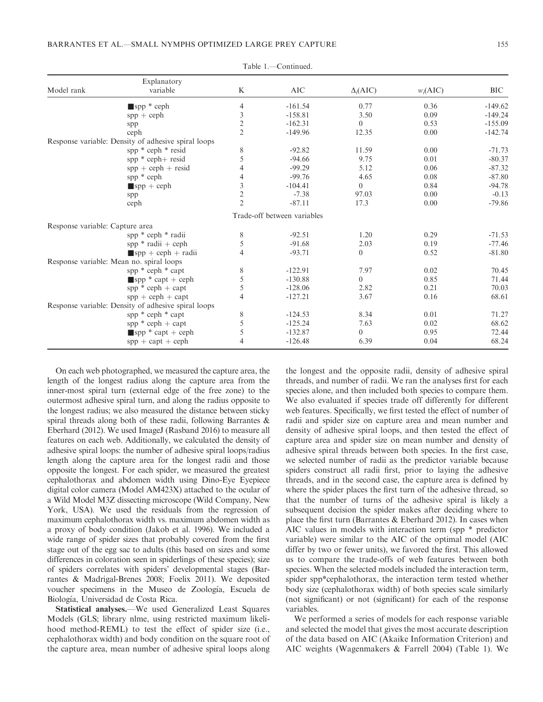|                                 | Explanatory                                         |                |                             |                 |            |            |
|---------------------------------|-----------------------------------------------------|----------------|-----------------------------|-----------------|------------|------------|
| Model rank                      | variable                                            | K              | <b>AIC</b>                  | $\Delta_i(AIC)$ | $w_i(AIC)$ | <b>BIC</b> |
|                                 | $\blacksquare$ spp * ceph                           | 4              | $-161.54$                   | 0.77            | 0.36       | $-149.62$  |
|                                 | $spp + ceph$                                        | 3              | $-158.81$                   | 3.50            | 0.09       | $-149.24$  |
|                                 | spp                                                 | $\mathfrak{2}$ | $-162.31$                   | $\theta$        | 0.53       | $-155.09$  |
|                                 | ceph                                                | $\overline{2}$ | $-149.96$                   | 12.35           | 0.00       | $-142.74$  |
|                                 | Response variable: Density of adhesive spiral loops |                |                             |                 |            |            |
|                                 | spp * ceph * resid                                  | 8              | $-92.82$                    | 11.59           | 0.00       | $-71.73$   |
|                                 | $spp * ceph + resid$                                | 5              | $-94.66$                    | 9.75            | 0.01       | $-80.37$   |
|                                 | $spp + ceph + resid$                                | 4              | $-99.29$                    | 5.12            | 0.06       | $-87.32$   |
|                                 | spp * ceph                                          | 4              | $-99.76$                    | 4.65            | 0.08       | $-87.80$   |
|                                 | $\Box$ spp + ceph                                   | 3              | $-104.41$                   | $\Omega$        | 0.84       | $-94.78$   |
|                                 | spp                                                 | 2              | $-7.38$                     | 97.03           | 0.00       | $-0.13$    |
|                                 | ceph                                                | $\overline{2}$ | $-87.11$                    | 17.3            | 0.00       | $-79.86$   |
|                                 |                                                     |                | Trade-off between variables |                 |            |            |
| Response variable: Capture area |                                                     |                |                             |                 |            |            |
|                                 | spp * ceph * radii                                  | 8              | $-92.51$                    | 1.20            | 0.29       | $-71.53$   |
|                                 | $spp * radii + ceph$                                | 5              | $-91.68$                    | 2.03            | 0.19       | $-77.46$   |
|                                 | $\blacksquare$ spp + ceph + radii                   | $\overline{4}$ | $-93.71$                    | $\overline{0}$  | 0.52       | $-81.80$   |
|                                 | Response variable: Mean no. spiral loops            |                |                             |                 |            |            |
|                                 | spp * ceph * capt                                   | 8              | $-122.91$                   | 7.97            | 0.02       | 70.45      |
|                                 | $\Box$ spp * capt + ceph                            | 5              | $-130.88$                   | $\overline{0}$  | 0.85       | 71.44      |
|                                 | $spp * ceph + capt$                                 | 5              | $-128.06$                   | 2.82            | 0.21       | 70.03      |
|                                 | $spp + ceph + capt$                                 | $\overline{4}$ | $-127.21$                   | 3.67            | 0.16       | 68.61      |
|                                 | Response variable: Density of adhesive spiral loops |                |                             |                 |            |            |
|                                 | spp * ceph * capt                                   | 8              | $-124.53$                   | 8.34            | 0.01       | 71.27      |
|                                 | $spp * ceph + capt$                                 | 5              | $-125.24$                   | 7.63            | 0.02       | 68.62      |
|                                 | $\Box$ spp * capt + ceph                            | 5              | $-132.87$                   | $\overline{0}$  | 0.95       | 72.44      |
|                                 | $spp + capt + ceph$                                 | 4              | $-126.48$                   | 6.39            | 0.04       | 68.24      |

Table 1.—Continued.

On each web photographed, we measured the capture area, the length of the longest radius along the capture area from the inner-most spiral turn (external edge of the free zone) to the outermost adhesive spiral turn, and along the radius opposite to the longest radius; we also measured the distance between sticky spiral threads along both of these radii, following Barrantes & Eberhard (2012). We used ImageJ (Rasband 2016) to measure all features on each web. Additionally, we calculated the density of adhesive spiral loops: the number of adhesive spiral loops/radius length along the capture area for the longest radii and those opposite the longest. For each spider, we measured the greatest cephalothorax and abdomen width using Dino-Eye Eyepiece digital color camera (Model AM423X) attached to the ocular of a Wild Model M3Z dissecting microscope (Wild Company, New York, USA). We used the residuals from the regression of maximum cephalothorax width vs. maximum abdomen width as a proxy of body condition (Jakob et al. 1996). We included a wide range of spider sizes that probably covered from the first stage out of the egg sac to adults (this based on sizes and some differences in coloration seen in spiderlings of these species); size of spiders correlates with spiders' developmental stages (Barrantes & Madrigal-Brenes 2008; Foelix 2011). We deposited voucher specimens in the Museo de Zoología, Escuela de Biología, Universidad de Costa Rica.

Statistical analyses.—We used Generalized Least Squares Models (GLS; library nlme, using restricted maximum likelihood method-REML) to test the effect of spider size (i.e., cephalothorax width) and body condition on the square root of the capture area, mean number of adhesive spiral loops along the longest and the opposite radii, density of adhesive spiral threads, and number of radii. We ran the analyses first for each species alone, and then included both species to compare them. We also evaluated if species trade off differently for different web features. Specifically, we first tested the effect of number of radii and spider size on capture area and mean number and density of adhesive spiral loops, and then tested the effect of capture area and spider size on mean number and density of adhesive spiral threads between both species. In the first case, we selected number of radii as the predictor variable because spiders construct all radii first, prior to laying the adhesive threads, and in the second case, the capture area is defined by where the spider places the first turn of the adhesive thread, so that the number of turns of the adhesive spiral is likely a subsequent decision the spider makes after deciding where to place the first turn (Barrantes & Eberhard 2012). In cases when AIC values in models with interaction term (spp \* predictor variable) were similar to the AIC of the optimal model (AIC differ by two or fewer units), we favored the first. This allowed us to compare the trade-offs of web features between both species. When the selected models included the interaction term, spider spp\*cephalothorax, the interaction term tested whether body size (cephalothorax width) of both species scale similarly (not significant) or not (significant) for each of the response variables.

We performed a series of models for each response variable and selected the model that gives the most accurate description of the data based on AIC (Akaike Information Criterion) and AIC weights (Wagenmakers & Farrell 2004) (Table 1). We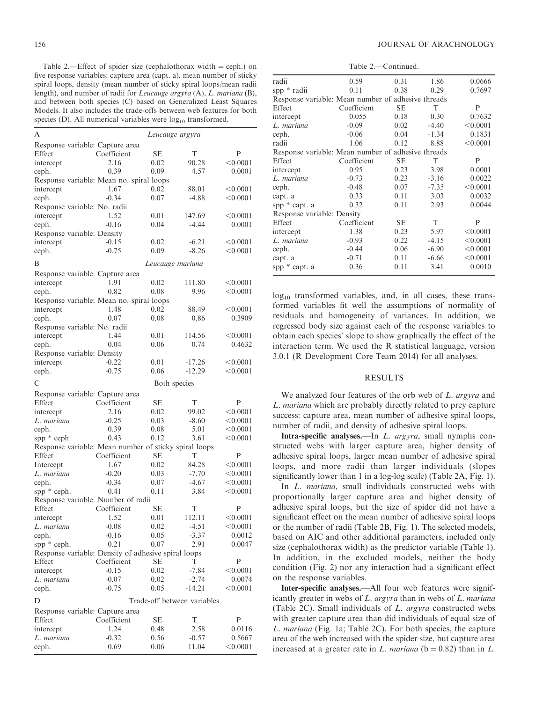Table 2.—Effect of spider size (cephalothorax width  $=$  ceph.) on five response variables: capture area (capt. a), mean number of sticky spiral loops, density (mean number of sticky spiral loops/mean radii length), and number of radii for Leucauge argyra (A), L. mariana (B), and between both species (C) based on Generalized Least Squares Models. It also includes the trade-offs between web features for both species (D). All numerical variables were  $log_{10}$  transformed.

| A                                                     |                             |           | Leucauge argyra  |                 |  |
|-------------------------------------------------------|-----------------------------|-----------|------------------|-----------------|--|
| Response variable: Capture area                       |                             |           |                  |                 |  |
| Effect                                                | Coefficient                 | <b>SE</b> | T                | P               |  |
| intercept                                             | 2.16                        | 0.02      | 90.28            | < 0.0001        |  |
| ceph.                                                 | 0.39                        | 0.09      | 4.57             | 0.0001          |  |
| Response variable: Mean no. spiral loops              |                             |           |                  |                 |  |
| intercept                                             | 1.67                        | 0.02      | 88.01            | < 0.0001        |  |
| ceph.                                                 | $-0.34$                     | 0.07      | $-4.88$          | < 0.0001        |  |
| Response variable: No. radii                          |                             |           |                  |                 |  |
| intercept                                             | 1.52                        | 0.01      | 147.69           | < 0.0001        |  |
| ceph.                                                 | $-0.16$                     | 0.04      | $-4.44$          | 0.0001          |  |
| Response variable: Density                            |                             |           |                  |                 |  |
| intercept                                             | $-0.15$                     | 0.02      | $-6.21$          | < 0.0001        |  |
| ceph.                                                 | $-0.75$                     | 0.09      | $-8.26$          | < 0.0001        |  |
| B                                                     |                             |           | Leucauge mariana |                 |  |
| Response variable: Capture area                       |                             |           |                  |                 |  |
| intercept                                             | 1.91                        | 0.02      | 111.80           | < 0.0001        |  |
|                                                       | 0.82                        |           |                  |                 |  |
| ceph.                                                 |                             | 0.08      | 9.96             | < 0.0001        |  |
| Response variable: Mean no. spiral loops              |                             |           |                  |                 |  |
| intercept                                             | 1.48                        | 0.02      | 88.49            | < 0.0001        |  |
| ceph.                                                 | 0.07                        | 0.08      | 0.86             | 0.3909          |  |
| Response variable: No. radii                          |                             |           |                  |                 |  |
| intercept                                             | 1.44                        | 0.01      | 114.56           | < 0.0001        |  |
| ceph.                                                 | 0.04                        | 0.06      | 0.74             | 0.4632          |  |
| Response variable: Density                            |                             |           |                  |                 |  |
| intercept                                             | $-0.22$                     | 0.01      | $-17.26$         | < 0.0001        |  |
| ceph.                                                 | $-0.75$                     | 0.06      | $-12.29$         | < 0.0001        |  |
| C                                                     |                             |           | Both species     |                 |  |
| Response variable: Capture area                       |                             |           |                  |                 |  |
| Effect                                                | Coefficient                 | SЕ        | T                | P               |  |
| intercept                                             | 2.16                        | 0.02      | 99.02            | < 0.0001        |  |
| L. mariana                                            | $-0.25$                     | 0.03      | $-8.60$          | < 0.0001        |  |
| ceph.                                                 | 0.39                        | 0.08      | 5.01             | < 0.0001        |  |
| spp * ceph.                                           | 0.43                        | 0.12      | 3.61             | $< \!\! 0.0001$ |  |
| Response variable: Mean number of sticky spiral loops |                             |           |                  |                 |  |
| Effect                                                | Coefficient                 | SЕ        | T                | P               |  |
| Intercept                                             | 1.67                        | 0.02      | 84.28            | < 0.0001        |  |
| L. mariana                                            | $-0.20$                     | 0.03      | $-7.70$          | < 0.0001        |  |
| ceph.                                                 | $-0.34$                     | 0.07      | $-4.67$          | < 0.0001        |  |
| $spp * ceph.$                                         | 0.41                        | 0.11      | 3.84             | < 0.0001        |  |
| Response variable: Number of radii                    |                             |           |                  |                 |  |
| Effect                                                | Coefficient                 | SЕ        | T                | P               |  |
|                                                       | 1.52                        | 0.01      | 112.11           | < 0.0001        |  |
| intercept                                             |                             |           |                  |                 |  |
| L. mariana                                            | $-0.08$                     | 0.02      | $-4.51$          | < 0.0001        |  |
| ceph.                                                 | $-0.16$                     | 0.05      | $-3.37$          | 0.0012          |  |
| $spp * ceph.$                                         | 0.21                        | 0.07      | 2.91             | 0.0047          |  |
| Response variable: Density of adhesive spiral loops   |                             |           |                  |                 |  |
| Effect                                                | Coefficient                 | SE        | Т                | P               |  |
| intercept                                             | $-0.15$                     | 0.02      | $-7.84$          | < 0.0001        |  |
| L. mariana                                            | $-0.07$                     | 0.02      | $-2.74$          | 0.0074          |  |
| ceph.                                                 | $-0.75$                     | 0.05      | $-14.21$         | < 0.0001        |  |
| D                                                     | Trade-off between variables |           |                  |                 |  |
| Response variable: Capture area                       |                             |           |                  |                 |  |
| Effect                                                | Coefficient                 | <b>SE</b> | T                | P               |  |
| intercept                                             | 1.24                        | 0.48      | 2.58             | 0.0116          |  |
| L. mariana                                            | $-0.32$                     | 0.56      | $-0.57$          | 0.5667          |  |
| ceph.                                                 | 0.69                        | 0.06      | 11.04            | < 0.0001        |  |

Table 2.—Continued.

| radii                                              | 0.59        | 0.31      | 1.86    | 0.0666   |  |  |
|----------------------------------------------------|-------------|-----------|---------|----------|--|--|
| $spp * \text{radii}$                               | 0.11        | 0.38      | 0.29    | 0.7697   |  |  |
| Response variable: Mean number of adhesive threads |             |           |         |          |  |  |
| Effect                                             | Coefficient | <b>SE</b> | T       | P        |  |  |
| intercept                                          | 0.055       | 0.18      | 0.30    | 0.7632   |  |  |
| L. mariana                                         | $-0.09$     | 0.02      | $-4.40$ | < 0.0001 |  |  |
| ceph.                                              | $-0.06$     | 0.04      | $-1.34$ | 0.1831   |  |  |
| radii                                              | 1.06        | 0.12      | 8.88    | < 0.0001 |  |  |
| Response variable: Mean number of adhesive threads |             |           |         |          |  |  |
| Effect                                             | Coefficient | <b>SE</b> | T       | P        |  |  |
| intercept                                          | 0.95        | 0.23      | 3.98    | 0.0001   |  |  |
| L. mariana                                         | $-0.73$     | 0.23      | $-3.16$ | 0.0022   |  |  |
| ceph.                                              | $-0.48$     | 0.07      | $-7.35$ | < 0.0001 |  |  |
| capt. a                                            | 0.33        | 0.11      | 3.03    | 0.0032   |  |  |
| spp * capt. a                                      | 0.32        | 0.11      | 2.93    | 0.0044   |  |  |
| Response variable: Density                         |             |           |         |          |  |  |
| Effect                                             | Coefficient | SE.       | T       | P        |  |  |
| intercept                                          | 1.38        | 0.23      | 5.97    | < 0.0001 |  |  |
| L. mariana                                         | $-0.93$     | 0.22      | $-4.15$ | < 0.0001 |  |  |
| ceph.                                              | $-0.44$     | 0.06      | $-6.90$ | < 0.0001 |  |  |
| capt. a                                            | $-0.71$     | 0.11      | $-6.66$ | < 0.0001 |  |  |
| spp * capt. a                                      | 0.36        | 0.11      | 3.41    | 0.0010   |  |  |

 $log_{10}$  transformed variables, and, in all cases, these transformed variables fit well the assumptions of normality of residuals and homogeneity of variances. In addition, we regressed body size against each of the response variables to obtain each species' slope to show graphically the effect of the interaction term. We used the R statistical language, version 3.0.1 (R Development Core Team 2014) for all analyses.

## RESULTS

We analyzed four features of the orb web of L. argyra and L. mariana which are probably directly related to prey capture success: capture area, mean number of adhesive spiral loops, number of radii, and density of adhesive spiral loops.

Intra-specific analyses.—In L. argyra, small nymphs constructed webs with larger capture area, higher density of adhesive spiral loops, larger mean number of adhesive spiral loops, and more radii than larger individuals (slopes significantly lower than 1 in a log-log scale) (Table 2A, Fig. 1).

In *L. mariana*, small individuals constructed webs with proportionally larger capture area and higher density of adhesive spiral loops, but the size of spider did not have a significant effect on the mean number of adhesive spiral loops or the number of radii (Table 2B, Fig. 1). The selected models, based on AIC and other additional parameters, included only size (cephalothorax width) as the predictor variable (Table 1). In addition, in the excluded models, neither the body condition (Fig. 2) nor any interaction had a significant effect on the response variables.

Inter-specific analyses.—All four web features were significantly greater in webs of L. argyra than in webs of L. mariana (Table 2C). Small individuals of L. argyra constructed webs with greater capture area than did individuals of equal size of L. mariana (Fig. 1a; Table 2C). For both species, the capture area of the web increased with the spider size, but capture area increased at a greater rate in L. mariana ( $b = 0.82$ ) than in L.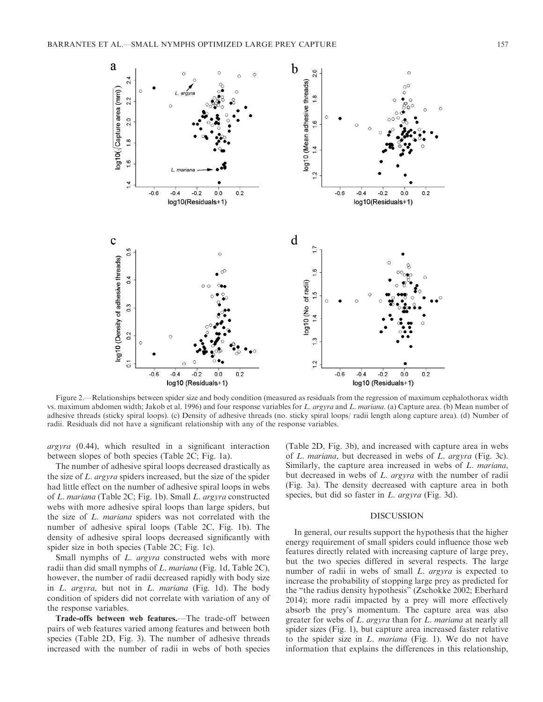

Figure 2.—Relationships between spider size and body condition (measured as residuals from the regression of maximum cephalothorax width vs. maximum abdomen width; Jakob et al. 1996) and four response variables for L. argyra and L. mariana. (a) Capture area. (b) Mean number of adhesive threads (sticky spiral loops). (c) Density of adhesive threads (no. sticky spiral loops/ radii length along capture area). (d) Number of radii. Residuals did not have a significant relationship with any of the response variables.

argyra (0.44), which resulted in a significant interaction between slopes of both species (Table 2C; Fig. 1a).

The number of adhesive spiral loops decreased drastically as the size of L. argyra spiders increased, but the size of the spider had little effect on the number of adhesive spiral loops in webs of L. mariana (Table 2C; Fig. 1b). Small L. argyra constructed webs with more adhesive spiral loops than large spiders, but the size of L. mariana spiders was not correlated with the number of adhesive spiral loops (Table 2C, Fig. 1b). The density of adhesive spiral loops decreased significantly with spider size in both species (Table 2C; Fig. 1c).

Small nymphs of L. argyra constructed webs with more radii than did small nymphs of L. mariana (Fig. 1d, Table 2C), however, the number of radii decreased rapidly with body size in L. argyra, but not in L. mariana (Fig. 1d). The body condition of spiders did not correlate with variation of any of the response variables.

Trade-offs between web features.—The trade-off between pairs of web features varied among features and between both species (Table 2D, Fig. 3). The number of adhesive threads increased with the number of radii in webs of both species

(Table 2D, Fig. 3b), and increased with capture area in webs of L. mariana, but decreased in webs of L. argyra (Fig. 3c). Similarly, the capture area increased in webs of L. *mariana*, but decreased in webs of L. argyra with the number of radii (Fig. 3a). The density decreased with capture area in both species, but did so faster in L. argyra (Fig. 3d).

#### DISCUSSION

In general, our results support the hypothesis that the higher energy requirement of small spiders could influence those web features directly related with increasing capture of large prey, but the two species differed in several respects. The large number of radii in webs of small L. argyra is expected to increase the probability of stopping large prey as predicted for the ''the radius density hypothesis'' (Zschokke 2002; Eberhard 2014); more radii impacted by a prey will more effectively absorb the prey's momentum. The capture area was also greater for webs of L. argyra than for L. mariana at nearly all spider sizes (Fig. 1), but capture area increased faster relative to the spider size in *L. mariana* (Fig. 1). We do not have information that explains the differences in this relationship,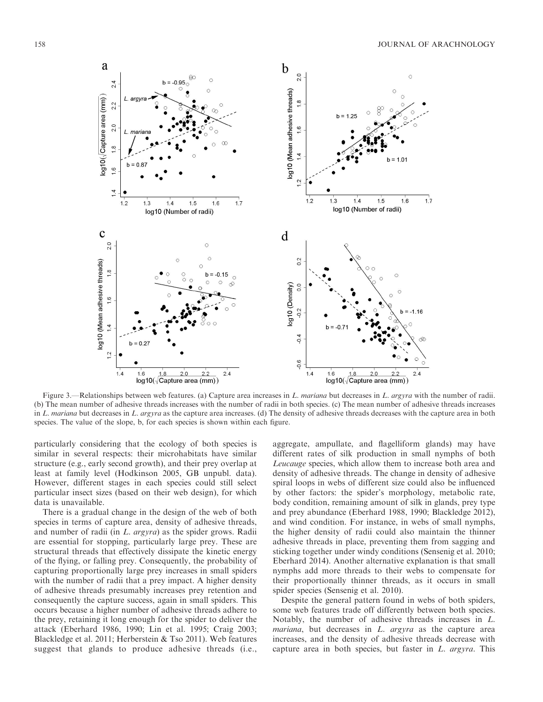

Figure 3.—Relationships between web features. (a) Capture area increases in L. mariana but decreases in L. argyra with the number of radii. (b) The mean number of adhesive threads increases with the number of radii in both species. (c) The mean number of adhesive threads increases in L. mariana but decreases in L. argyra as the capture area increases. (d) The density of adhesive threads decreases with the capture area in both species. The value of the slope, b, for each species is shown within each figure.

particularly considering that the ecology of both species is similar in several respects: their microhabitats have similar structure (e.g., early second growth), and their prey overlap at least at family level (Hodkinson 2005, GB unpubl. data). However, different stages in each species could still select particular insect sizes (based on their web design), for which data is unavailable.

There is a gradual change in the design of the web of both species in terms of capture area, density of adhesive threads, and number of radii (in L. argyra) as the spider grows. Radii are essential for stopping, particularly large prey. These are structural threads that effectively dissipate the kinetic energy of the flying, or falling prey. Consequently, the probability of capturing proportionally large prey increases in small spiders with the number of radii that a prey impact. A higher density of adhesive threads presumably increases prey retention and consequently the capture success, again in small spiders. This occurs because a higher number of adhesive threads adhere to the prey, retaining it long enough for the spider to deliver the attack (Eberhard 1986, 1990; Lin et al. 1995; Craig 2003; Blackledge et al. 2011; Herberstein & Tso 2011). Web features suggest that glands to produce adhesive threads (i.e.,

aggregate, ampullate, and flagelliform glands) may have different rates of silk production in small nymphs of both Leucauge species, which allow them to increase both area and density of adhesive threads. The change in density of adhesive spiral loops in webs of different size could also be influenced by other factors: the spider's morphology, metabolic rate, body condition, remaining amount of silk in glands, prey type and prey abundance (Eberhard 1988, 1990; Blackledge 2012), and wind condition. For instance, in webs of small nymphs, the higher density of radii could also maintain the thinner adhesive threads in place, preventing them from sagging and sticking together under windy conditions (Sensenig et al. 2010; Eberhard 2014). Another alternative explanation is that small nymphs add more threads to their webs to compensate for their proportionally thinner threads, as it occurs in small spider species (Sensenig et al. 2010).

Despite the general pattern found in webs of both spiders, some web features trade off differently between both species. Notably, the number of adhesive threads increases in L.  $mariana$ , but decreases in  $L$ .  $argyra$  as the capture area increases, and the density of adhesive threads decrease with capture area in both species, but faster in L. argyra. This